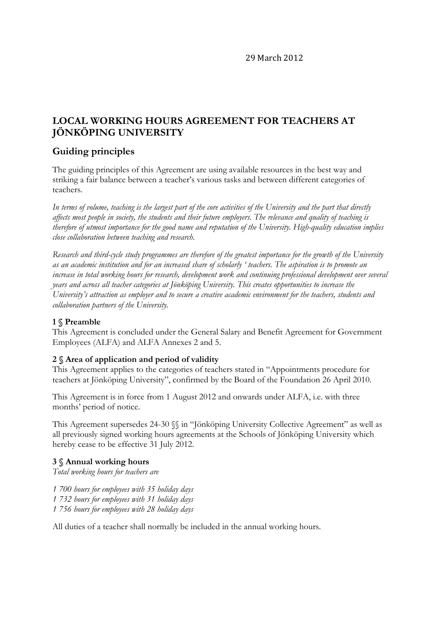29 March 2012

# **LOCAL WORKING HOURS AGREEMENT FOR TEACHERS AT JÖNKÖPING UNIVERSITY**

# **Guiding principles**

The guiding principles of this Agreement are using available resources in the best way and striking a fair balance between a teacher's various tasks and between different categories of teachers.

*In terms of volume, teaching is the largest part of the core activities of the University and the part that directly affects most people in society, the students and their future employers. The relevance and quality of teaching is therefore of utmost importance for the good name and reputation of the University. High-quality education implies close collaboration between teaching and research.* 

*Research and third-cycle study programmes are therefore of the greatest importance for the growth of the University as an academic institution and for an increased share of scholarly ' teachers. The aspiration is to promote an increase in total working hours for research, development work and continuing professional development over several years and across all teacher categories at Jönköping University. This creates opportunities to increase the University's attraction as employer and to secure a creative academic environment for the teachers, students and collaboration partners of the University.*

#### **1 § Preamble**

This Agreement is concluded under the General Salary and Benefit Agreement for Government Employees (ALFA) and ALFA Annexes 2 and 5.

#### **2 § Area of application and period of validity**

This Agreement applies to the categories of teachers stated in "Appointments procedure for teachers at Jönköping University", confirmed by the Board of the Foundation 26 April 2010.

This Agreement is in force from 1 August 2012 and onwards under ALFA, i.e. with three months' period of notice.

This Agreement supersedes 24-30 §§ in "Jönköping University Collective Agreement" as well as all previously signed working hours agreements at the Schools of Jönköping University which hereby cease to be effective 31 July 2012.

#### **3 § Annual working hours**

*Total working hours for teachers are* 

- *1 700 hours for employees with 35 holiday days*
- *1 732 hours for employees with 31 holiday days*
- *1 756 hours for employees with 28 holiday days*

All duties of a teacher shall normally be included in the annual working hours.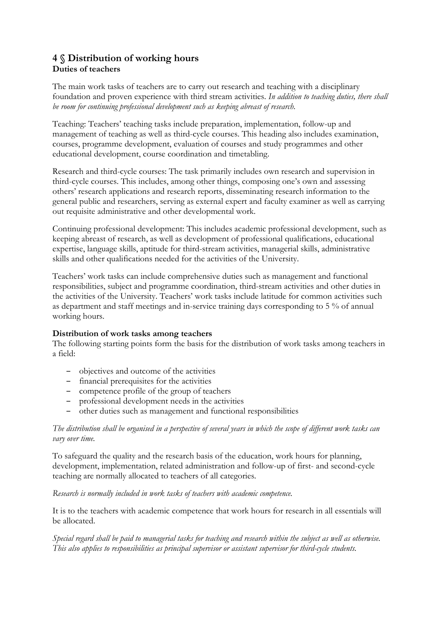# **4 § Distribution of working hours Duties of teachers**

The main work tasks of teachers are to carry out research and teaching with a disciplinary foundation and proven experience with third stream activities. *In addition to teaching duties, there shall be room for continuing professional development such as keeping abreast of research.*

Teaching: Teachers' teaching tasks include preparation, implementation, follow-up and management of teaching as well as third-cycle courses. This heading also includes examination, courses, programme development, evaluation of courses and study programmes and other educational development, course coordination and timetabling.

Research and third-cycle courses: The task primarily includes own research and supervision in third-cycle courses. This includes, among other things, composing one's own and assessing others' research applications and research reports, disseminating research information to the general public and researchers, serving as external expert and faculty examiner as well as carrying out requisite administrative and other developmental work.

Continuing professional development: This includes academic professional development, such as keeping abreast of research, as well as development of professional qualifications, educational expertise, language skills, aptitude for third-stream activities, managerial skills, administrative skills and other qualifications needed for the activities of the University.

Teachers' work tasks can include comprehensive duties such as management and functional responsibilities, subject and programme coordination, third-stream activities and other duties in the activities of the University. Teachers' work tasks include latitude for common activities such as department and staff meetings and in-service training days corresponding to 5 % of annual working hours.

#### **Distribution of work tasks among teachers**

The following starting points form the basis for the distribution of work tasks among teachers in a field:

- objectives and outcome of the activities
- financial prerequisites for the activities
- competence profile of the group of teachers
- professional development needs in the activities
- other duties such as management and functional responsibilities

#### *The distribution shall be organised in a perspective of several years in which the scope of different work tasks can vary over time.*

To safeguard the quality and the research basis of the education, work hours for planning, development, implementation, related administration and follow-up of first- and second-cycle teaching are normally allocated to teachers of all categories.

#### *Research is normally included in work tasks of teachers with academic competence.*

It is to the teachers with academic competence that work hours for research in all essentials will be allocated.

*Special regard shall be paid to managerial tasks for teaching and research within the subject as well as otherwise. This also applies to responsibilities as principal supervisor or assistant supervisor for third-cycle students.*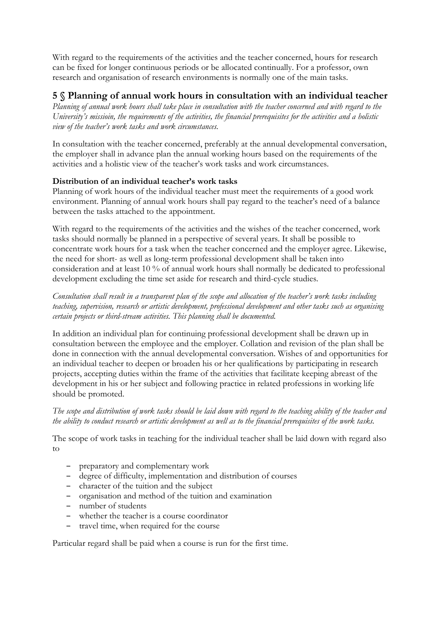With regard to the requirements of the activities and the teacher concerned, hours for research can be fixed for longer continuous periods or be allocated continually. For a professor, own research and organisation of research environments is normally one of the main tasks.

# **5 § Planning of annual work hours in consultation with an individual teacher**

*Planning of annual work hours shall take place in consultation with the teacher concerned and with regard to the University's missioin, the requirements of the activities, the financial prerequisites for the activities and a holistic view of the teacher's work tasks and work circumstances.*

In consultation with the teacher concerned, preferably at the annual developmental conversation, the employer shall in advance plan the annual working hours based on the requirements of the activities and a holistic view of the teacher's work tasks and work circumstances.

#### **Distribution of an individual teacher's work tasks**

Planning of work hours of the individual teacher must meet the requirements of a good work environment. Planning of annual work hours shall pay regard to the teacher's need of a balance between the tasks attached to the appointment.

With regard to the requirements of the activities and the wishes of the teacher concerned, work tasks should normally be planned in a perspective of several years. It shall be possible to concentrate work hours for a task when the teacher concerned and the employer agree. Likewise, the need for short- as well as long-term professional development shall be taken into consideration and at least 10 % of annual work hours shall normally be dedicated to professional development excluding the time set aside for research and third-cycle studies.

*Consultation shall result in a transparent plan of the scope and allocation of the teacher's work tasks including teaching, supervision, research or artistic development, professional development and other tasks such as organising certain projects or third-stream activities. This planning shall be documented.*

In addition an individual plan for continuing professional development shall be drawn up in consultation between the employee and the employer. Collation and revision of the plan shall be done in connection with the annual developmental conversation. Wishes of and opportunities for an individual teacher to deepen or broaden his or her qualifications by participating in research projects, accepting duties within the frame of the activities that facilitate keeping abreast of the development in his or her subject and following practice in related professions in working life should be promoted.

*The scope and distribution of work tasks should be laid down with regard to the teaching ability of the teacher and the ability to conduct research or artistic development as well as to the financial prerequisites of the work tasks.*

The scope of work tasks in teaching for the individual teacher shall be laid down with regard also to

- preparatory and complementary work
- degree of difficulty, implementation and distribution of courses
- character of the tuition and the subject
- organisation and method of the tuition and examination
- number of students
- whether the teacher is a course coordinator
- travel time, when required for the course

Particular regard shall be paid when a course is run for the first time.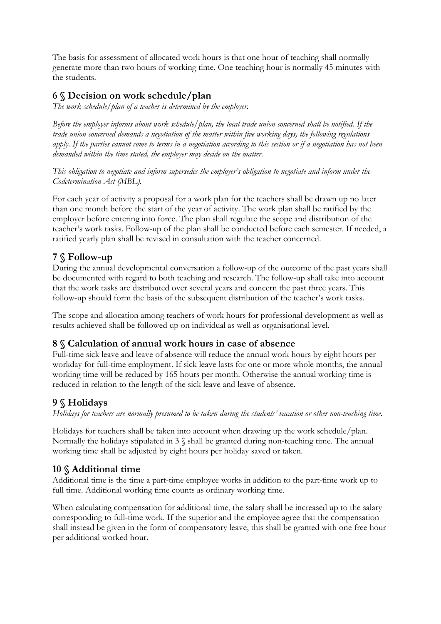The basis for assessment of allocated work hours is that one hour of teaching shall normally generate more than two hours of working time. One teaching hour is normally 45 minutes with the students.

# **6 § Decision on work schedule/plan**

*The work schedule/plan of a teacher is determined by the employer.* 

*Before the employer informs about work schedule/plan, the local trade union concerned shall be notified. If the trade union concerned demands a negotiation of the matter within five working days, the following regulations apply. If the parties cannot come to terms in a negotiation according to this section or if a negotiation has not been demanded within the time stated, the employer may decide on the matter.* 

*This obligation to negotiate and inform supersedes the employer's obligation to negotiate and inform under the Codetermination Act (MBL).*

For each year of activity a proposal for a work plan for the teachers shall be drawn up no later than one month before the start of the year of activity. The work plan shall be ratified by the employer before entering into force. The plan shall regulate the scope and distribution of the teacher's work tasks. Follow-up of the plan shall be conducted before each semester. If needed, a ratified yearly plan shall be revised in consultation with the teacher concerned.

# **7 § Follow-up**

During the annual developmental conversation a follow-up of the outcome of the past years shall be documented with regard to both teaching and research. The follow-up shall take into account that the work tasks are distributed over several years and concern the past three years. This follow-up should form the basis of the subsequent distribution of the teacher's work tasks.

The scope and allocation among teachers of work hours for professional development as well as results achieved shall be followed up on individual as well as organisational level.

# **8 § Calculation of annual work hours in case of absence**

Full-time sick leave and leave of absence will reduce the annual work hours by eight hours per workday for full-time employment. If sick leave lasts for one or more whole months, the annual working time will be reduced by 165 hours per month. Otherwise the annual working time is reduced in relation to the length of the sick leave and leave of absence.

## **9 § Holidays**

*Holidays for teachers are normally presumed to be taken during the students' vacation or other non-teaching time.*

Holidays for teachers shall be taken into account when drawing up the work schedule/plan. Normally the holidays stipulated in 3 § shall be granted during non-teaching time. The annual working time shall be adjusted by eight hours per holiday saved or taken.

# **10 § Additional time**

Additional time is the time a part-time employee works in addition to the part-time work up to full time. Additional working time counts as ordinary working time.

When calculating compensation for additional time, the salary shall be increased up to the salary corresponding to full-time work. If the superior and the employee agree that the compensation shall instead be given in the form of compensatory leave, this shall be granted with one free hour per additional worked hour.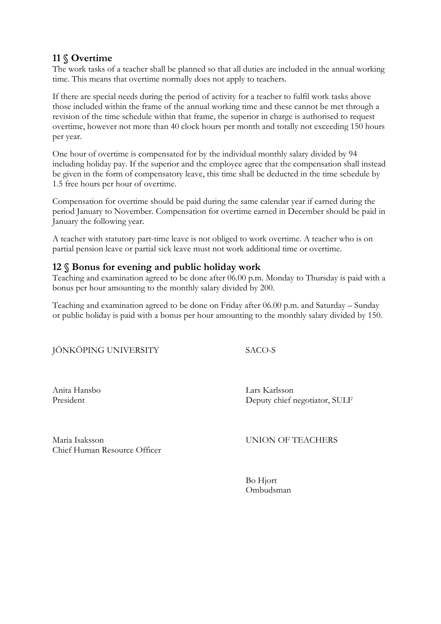# **11 § Overtime**

The work tasks of a teacher shall be planned so that all duties are included in the annual working time. This means that overtime normally does not apply to teachers.

If there are special needs during the period of activity for a teacher to fulfil work tasks above those included within the frame of the annual working time and these cannot be met through a revision of the time schedule within that frame, the superior in charge is authorised to request overtime, however not more than 40 clock hours per month and totally not exceeding 150 hours per year.

One hour of overtime is compensated for by the individual monthly salary divided by 94 including holiday pay. If the superior and the employee agree that the compensation shall instead be given in the form of compensatory leave, this time shall be deducted in the time schedule by 1.5 free hours per hour of overtime.

Compensation for overtime should be paid during the same calendar year if earned during the period January to November. Compensation for overtime earned in December should be paid in January the following year.

A teacher with statutory part-time leave is not obliged to work overtime. A teacher who is on partial pension leave or partial sick leave must not work additional time or overtime.

#### **12 § Bonus for evening and public holiday work**

Teaching and examination agreed to be done after 06.00 p.m. Monday to Thursday is paid with a bonus per hour amounting to the monthly salary divided by 200.

Teaching and examination agreed to be done on Friday after 06.00 p.m. and Saturday – Sunday or public holiday is paid with a bonus per hour amounting to the monthly salary divided by 150.

|  |  |  | JÖNKÖPING UNIVERSITY |
|--|--|--|----------------------|
|  |  |  |                      |
|  |  |  |                      |
|  |  |  |                      |

SACO-S

Anita Hansbo Lars Karlsson President Deputy chief negotiator, SULF

Maria Isaksson UNION OF TEACHERS Chief Human Resource Officer

 Bo Hjort Ombudsman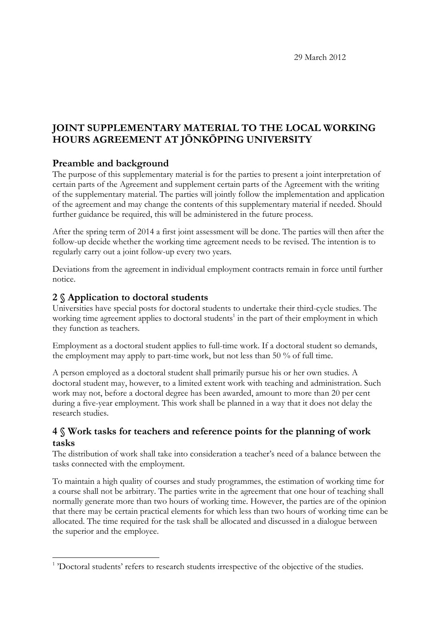29 March 2012

# **JOINT SUPPLEMENTARY MATERIAL TO THE LOCAL WORKING HOURS AGREEMENT AT JÖNKÖPING UNIVERSITY**

## **Preamble and background**

The purpose of this supplementary material is for the parties to present a joint interpretation of certain parts of the Agreement and supplement certain parts of the Agreement with the writing of the supplementary material. The parties will jointly follow the implementation and application of the agreement and may change the contents of this supplementary material if needed. Should further guidance be required, this will be administered in the future process.

After the spring term of 2014 a first joint assessment will be done. The parties will then after the follow-up decide whether the working time agreement needs to be revised. The intention is to regularly carry out a joint follow-up every two years.

Deviations from the agreement in individual employment contracts remain in force until further notice.

## **2 § Application to doctoral students**

 $\overline{a}$ 

Universities have special posts for doctoral students to undertake their third-cycle studies. The working time agreement applies to doctoral students<sup>1</sup> in the part of their employment in which they function as teachers.

Employment as a doctoral student applies to full-time work. If a doctoral student so demands, the employment may apply to part-time work, but not less than 50 % of full time.

A person employed as a doctoral student shall primarily pursue his or her own studies. A doctoral student may, however, to a limited extent work with teaching and administration. Such work may not, before a doctoral degree has been awarded, amount to more than 20 per cent during a five-year employment. This work shall be planned in a way that it does not delay the research studies.

## **4 § Work tasks for teachers and reference points for the planning of work tasks**

The distribution of work shall take into consideration a teacher's need of a balance between the tasks connected with the employment.

To maintain a high quality of courses and study programmes, the estimation of working time for a course shall not be arbitrary. The parties write in the agreement that one hour of teaching shall normally generate more than two hours of working time. However, the parties are of the opinion that there may be certain practical elements for which less than two hours of working time can be allocated. The time required for the task shall be allocated and discussed in a dialogue between the superior and the employee.

<sup>&</sup>lt;sup>1</sup> 'Doctoral students' refers to research students irrespective of the objective of the studies.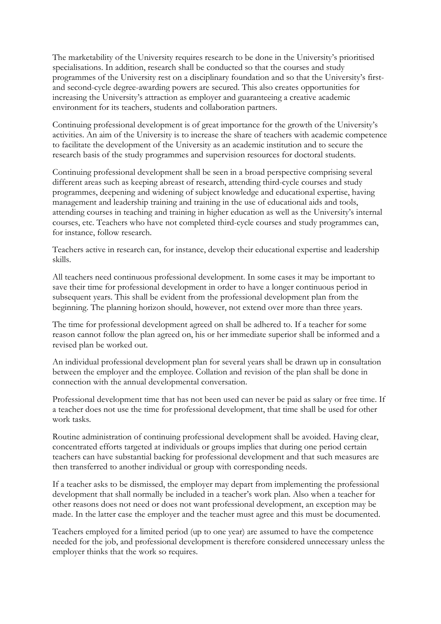The marketability of the University requires research to be done in the University's prioritised specialisations. In addition, research shall be conducted so that the courses and study programmes of the University rest on a disciplinary foundation and so that the University's firstand second-cycle degree-awarding powers are secured. This also creates opportunities for increasing the University's attraction as employer and guaranteeing a creative academic environment for its teachers, students and collaboration partners.

Continuing professional development is of great importance for the growth of the University's activities. An aim of the University is to increase the share of teachers with academic competence to facilitate the development of the University as an academic institution and to secure the research basis of the study programmes and supervision resources for doctoral students.

Continuing professional development shall be seen in a broad perspective comprising several different areas such as keeping abreast of research, attending third-cycle courses and study programmes, deepening and widening of subject knowledge and educational expertise, having management and leadership training and training in the use of educational aids and tools, attending courses in teaching and training in higher education as well as the University's internal courses, etc. Teachers who have not completed third-cycle courses and study programmes can, for instance, follow research.

Teachers active in research can, for instance, develop their educational expertise and leadership skills.

All teachers need continuous professional development. In some cases it may be important to save their time for professional development in order to have a longer continuous period in subsequent years. This shall be evident from the professional development plan from the beginning. The planning horizon should, however, not extend over more than three years.

The time for professional development agreed on shall be adhered to. If a teacher for some reason cannot follow the plan agreed on, his or her immediate superior shall be informed and a revised plan be worked out.

An individual professional development plan for several years shall be drawn up in consultation between the employer and the employee. Collation and revision of the plan shall be done in connection with the annual developmental conversation.

Professional development time that has not been used can never be paid as salary or free time. If a teacher does not use the time for professional development, that time shall be used for other work tasks.

Routine administration of continuing professional development shall be avoided. Having clear, concentrated efforts targeted at individuals or groups implies that during one period certain teachers can have substantial backing for professional development and that such measures are then transferred to another individual or group with corresponding needs.

If a teacher asks to be dismissed, the employer may depart from implementing the professional development that shall normally be included in a teacher's work plan. Also when a teacher for other reasons does not need or does not want professional development, an exception may be made. In the latter case the employer and the teacher must agree and this must be documented.

Teachers employed for a limited period (up to one year) are assumed to have the competence needed for the job, and professional development is therefore considered unnecessary unless the employer thinks that the work so requires.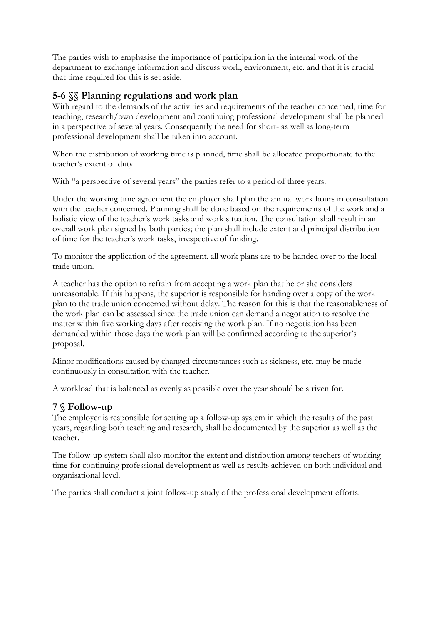The parties wish to emphasise the importance of participation in the internal work of the department to exchange information and discuss work, environment, etc. and that it is crucial that time required for this is set aside.

# **5-6 §§ Planning regulations and work plan**

With regard to the demands of the activities and requirements of the teacher concerned, time for teaching, research/own development and continuing professional development shall be planned in a perspective of several years. Consequently the need for short- as well as long-term professional development shall be taken into account.

When the distribution of working time is planned, time shall be allocated proportionate to the teacher's extent of duty.

With "a perspective of several years" the parties refer to a period of three years.

Under the working time agreement the employer shall plan the annual work hours in consultation with the teacher concerned. Planning shall be done based on the requirements of the work and a holistic view of the teacher's work tasks and work situation. The consultation shall result in an overall work plan signed by both parties; the plan shall include extent and principal distribution of time for the teacher's work tasks, irrespective of funding.

To monitor the application of the agreement, all work plans are to be handed over to the local trade union.

A teacher has the option to refrain from accepting a work plan that he or she considers unreasonable. If this happens, the superior is responsible for handing over a copy of the work plan to the trade union concerned without delay. The reason for this is that the reasonableness of the work plan can be assessed since the trade union can demand a negotiation to resolve the matter within five working days after receiving the work plan. If no negotiation has been demanded within those days the work plan will be confirmed according to the superior's proposal.

Minor modifications caused by changed circumstances such as sickness, etc. may be made continuously in consultation with the teacher.

A workload that is balanced as evenly as possible over the year should be striven for.

## **7 § Follow-up**

The employer is responsible for setting up a follow-up system in which the results of the past years, regarding both teaching and research, shall be documented by the superior as well as the teacher.

The follow-up system shall also monitor the extent and distribution among teachers of working time for continuing professional development as well as results achieved on both individual and organisational level.

The parties shall conduct a joint follow-up study of the professional development efforts.